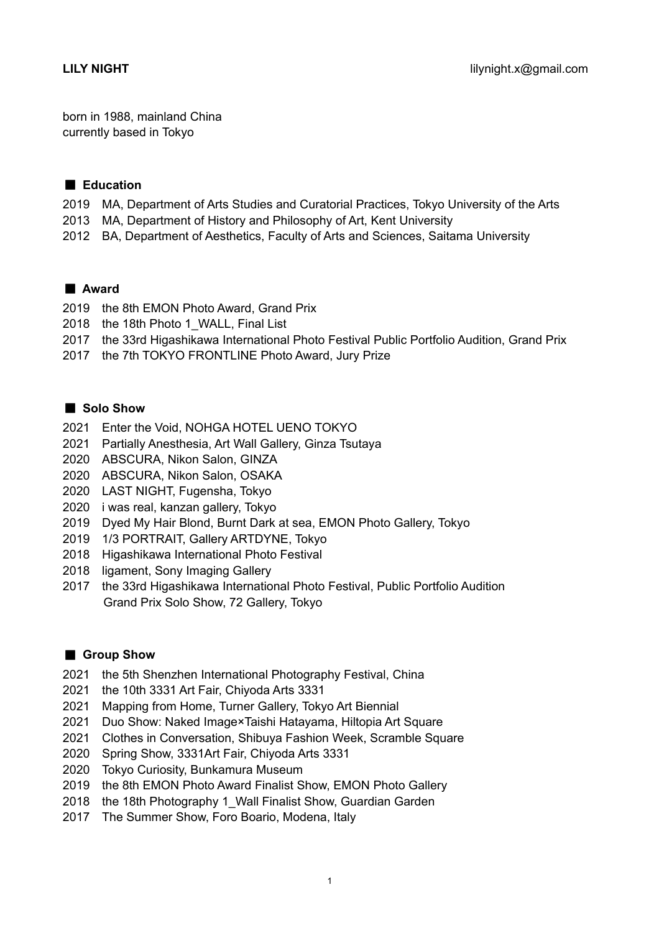born in 1988, mainland China currently based in Tokyo

## ■ Education

- MA, Department of Arts Studies and Curatorial Practices, Tokyo University of the Arts
- MA, Department of History and Philosophy of Art, Kent University
- BA, Department of Aesthetics, Faculty of Arts and Sciences, Saitama University

## ■ Award

- the 8th EMON Photo Award, Grand Prix
- 2018 the 18th Photo 1 WALL, Final List
- the 33rd Higashikawa International Photo Festival Public Portfolio Audition, Grand Prix
- the 7th TOKYO FRONTLINE Photo Award, Jury Prize

## ■ Solo Show

- Enter the Void, NOHGA HOTEL UENO TOKYO
- Partially Anesthesia, Art Wall Gallery, Ginza Tsutaya
- ABSCURA, Nikon Salon, GINZA
- ABSCURA, Nikon Salon, OSAKA
- LAST NIGHT, Fugensha, Tokyo
- i was real, kanzan gallery, Tokyo
- Dyed My Hair Blond, Burnt Dark at sea, EMON Photo Gallery, Tokyo
- 1/3 PORTRAIT, Gallery ARTDYNE, Tokyo
- Higashikawa International Photo Festival
- ligament, Sony Imaging Gallery
- the 33rd Higashikawa International Photo Festival, Public Portfolio Audition Grand Prix Solo Show, 72 Gallery, Tokyo

#### ■ Group Show

- the 5th Shenzhen International Photography Festival, China
- the 10th 3331 Art Fair, Chiyoda Arts 3331
- Mapping from Home, Turner Gallery, Tokyo Art Biennial
- Duo Show: Naked Image×Taishi Hatayama, Hiltopia Art Square
- Clothes in Conversation, Shibuya Fashion Week, Scramble Square
- Spring Show, 3331Art Fair, Chiyoda Arts 3331
- Tokyo Curiosity, Bunkamura Museum
- the 8th EMON Photo Award Finalist Show, EMON Photo Gallery
- 2018 the 18th Photography 1 Wall Finalist Show, Guardian Garden
- The Summer Show, Foro Boario, Modena, Italy